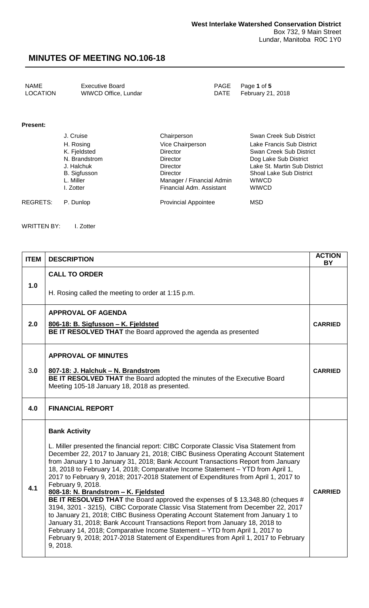| NAME            | Executive Board      | PAGE Page 1 of 5       |
|-----------------|----------------------|------------------------|
| <b>LOCATION</b> | WIWCD Office, Lundar | DATE February 21, 2018 |
|                 |                      |                        |

#### **Present:**

| J. Cruise     | Chairperson                 | Swan Creek Sub District        |
|---------------|-----------------------------|--------------------------------|
| H. Rosing     | Vice Chairperson            | Lake Francis Sub District      |
| K. Fjeldsted  | Director                    | Swan Creek Sub District        |
| N. Brandstrom | <b>Director</b>             | Dog Lake Sub District          |
| J. Halchuk    | <b>Director</b>             | Lake St. Martin Sub District   |
| B. Sigfusson  | <b>Director</b>             | <b>Shoal Lake Sub District</b> |
| L. Miller     | Manager / Financial Admin   | <b>WIWCD</b>                   |
| I. Zotter     | Financial Adm. Assistant    | <b>WIWCD</b>                   |
| P. Dunlop     | <b>Provincial Appointee</b> | <b>MSD</b>                     |
|               |                             |                                |

WRITTEN BY: I. Zotter

| <b>ITEM</b> | <b>DESCRIPTION</b>                                                                                                                                                                                                                                                                                                                                                                                                                                                                                                                                                                                                                                                                                                                                                                                                                                                                                                                                                                                                                                      | <b>ACTION</b><br><b>BY</b> |  |
|-------------|---------------------------------------------------------------------------------------------------------------------------------------------------------------------------------------------------------------------------------------------------------------------------------------------------------------------------------------------------------------------------------------------------------------------------------------------------------------------------------------------------------------------------------------------------------------------------------------------------------------------------------------------------------------------------------------------------------------------------------------------------------------------------------------------------------------------------------------------------------------------------------------------------------------------------------------------------------------------------------------------------------------------------------------------------------|----------------------------|--|
|             | <b>CALL TO ORDER</b>                                                                                                                                                                                                                                                                                                                                                                                                                                                                                                                                                                                                                                                                                                                                                                                                                                                                                                                                                                                                                                    |                            |  |
| 1.0         | H. Rosing called the meeting to order at 1:15 p.m.                                                                                                                                                                                                                                                                                                                                                                                                                                                                                                                                                                                                                                                                                                                                                                                                                                                                                                                                                                                                      |                            |  |
|             | <b>APPROVAL OF AGENDA</b>                                                                                                                                                                                                                                                                                                                                                                                                                                                                                                                                                                                                                                                                                                                                                                                                                                                                                                                                                                                                                               |                            |  |
| 2.0         | 806-18: B. Sigfusson - K. Fjeldsted<br>BE IT RESOLVED THAT the Board approved the agenda as presented                                                                                                                                                                                                                                                                                                                                                                                                                                                                                                                                                                                                                                                                                                                                                                                                                                                                                                                                                   | <b>CARRIED</b>             |  |
|             | <b>APPROVAL OF MINUTES</b>                                                                                                                                                                                                                                                                                                                                                                                                                                                                                                                                                                                                                                                                                                                                                                                                                                                                                                                                                                                                                              |                            |  |
| 3.0         | 807-18: J. Halchuk - N. Brandstrom<br>BE IT RESOLVED THAT the Board adopted the minutes of the Executive Board<br>Meeting 105-18 January 18, 2018 as presented.                                                                                                                                                                                                                                                                                                                                                                                                                                                                                                                                                                                                                                                                                                                                                                                                                                                                                         | <b>CARRIED</b>             |  |
| 4.0         | <b>FINANCIAL REPORT</b>                                                                                                                                                                                                                                                                                                                                                                                                                                                                                                                                                                                                                                                                                                                                                                                                                                                                                                                                                                                                                                 |                            |  |
| 4.1         | <b>Bank Activity</b><br>L. Miller presented the financial report: CIBC Corporate Classic Visa Statement from<br>December 22, 2017 to January 21, 2018; CIBC Business Operating Account Statement<br>from January 1 to January 31, 2018; Bank Account Transactions Report from January<br>18, 2018 to February 14, 2018; Comparative Income Statement - YTD from April 1,<br>2017 to February 9, 2018; 2017-2018 Statement of Expenditures from April 1, 2017 to<br>February 9, 2018.<br>808-18: N. Brandstrom - K. Fjeldsted<br>BE IT RESOLVED THAT the Board approved the expenses of \$13,348.80 (cheques #<br>3194, 3201 - 3215), CIBC Corporate Classic Visa Statement from December 22, 2017<br>to January 21, 2018; CIBC Business Operating Account Statement from January 1 to<br>January 31, 2018; Bank Account Transactions Report from January 18, 2018 to<br>February 14, 2018; Comparative Income Statement - YTD from April 1, 2017 to<br>February 9, 2018; 2017-2018 Statement of Expenditures from April 1, 2017 to February<br>9, 2018. | <b>CARRIED</b>             |  |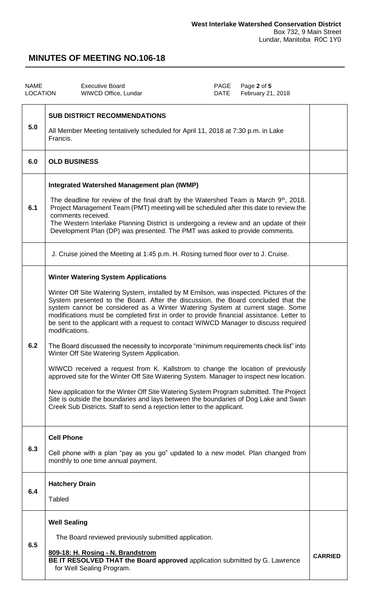| <b>NAME</b><br>LOCATION | <b>Executive Board</b><br>Page 2 of 5<br>PAGE<br><b>DATE</b><br>February 21, 2018<br>WIWCD Office, Lundar                                                                                                                                                                                                                                                                                                                                                                                                                                                                                                                                                                                                                                                                                                                                                                                                                                                                                                                                                                                                |                |
|-------------------------|----------------------------------------------------------------------------------------------------------------------------------------------------------------------------------------------------------------------------------------------------------------------------------------------------------------------------------------------------------------------------------------------------------------------------------------------------------------------------------------------------------------------------------------------------------------------------------------------------------------------------------------------------------------------------------------------------------------------------------------------------------------------------------------------------------------------------------------------------------------------------------------------------------------------------------------------------------------------------------------------------------------------------------------------------------------------------------------------------------|----------------|
| 5.0                     | <b>SUB DISTRICT RECOMMENDATIONS</b><br>All Member Meeting tentatively scheduled for April 11, 2018 at 7:30 p.m. in Lake<br>Francis.                                                                                                                                                                                                                                                                                                                                                                                                                                                                                                                                                                                                                                                                                                                                                                                                                                                                                                                                                                      |                |
| 6.0                     | <b>OLD BUSINESS</b>                                                                                                                                                                                                                                                                                                                                                                                                                                                                                                                                                                                                                                                                                                                                                                                                                                                                                                                                                                                                                                                                                      |                |
| 6.1                     | <b>Integrated Watershed Management plan (IWMP)</b><br>The deadline for review of the final draft by the Watershed Team is March 9 <sup>th</sup> , 2018.<br>Project Management Team (PMT) meeting will be scheduled after this date to review the<br>comments received.<br>The Western Interlake Planning District is undergoing a review and an update of their<br>Development Plan (DP) was presented. The PMT was asked to provide comments.                                                                                                                                                                                                                                                                                                                                                                                                                                                                                                                                                                                                                                                           |                |
|                         | J. Cruise joined the Meeting at 1:45 p.m. H. Rosing turned floor over to J. Cruise.                                                                                                                                                                                                                                                                                                                                                                                                                                                                                                                                                                                                                                                                                                                                                                                                                                                                                                                                                                                                                      |                |
| 6.2                     | <b>Winter Watering System Applications</b><br>Winter Off Site Watering System, installed by M Emilson, was inspected. Pictures of the<br>System presented to the Board. After the discussion, the Board concluded that the<br>system cannot be considered as a Winter Watering System at current stage. Some<br>modifications must be completed first in order to provide financial assistance. Letter to<br>be sent to the applicant with a request to contact WIWCD Manager to discuss required<br>modifications.<br>The Board discussed the necessity to incorporate "minimum requirements check list" into<br>Winter Off Site Watering System Application.<br>WIWCD received a request from K. Kallstrom to change the location of previously<br>approved site for the Winter Off Site Watering System. Manager to inspect new location.<br>New application for the Winter Off Site Watering System Program submitted. The Project<br>Site is outside the boundaries and lays between the boundaries of Dog Lake and Swan<br>Creek Sub Districts. Staff to send a rejection letter to the applicant. |                |
| 6.3                     | <b>Cell Phone</b><br>Cell phone with a plan "pay as you go" updated to a new model. Plan changed from<br>monthly to one time annual payment.                                                                                                                                                                                                                                                                                                                                                                                                                                                                                                                                                                                                                                                                                                                                                                                                                                                                                                                                                             |                |
| 6.4                     | <b>Hatchery Drain</b><br><b>Tabled</b>                                                                                                                                                                                                                                                                                                                                                                                                                                                                                                                                                                                                                                                                                                                                                                                                                                                                                                                                                                                                                                                                   |                |
| 6.5                     | <b>Well Sealing</b><br>The Board reviewed previously submitted application.<br>809-18: H. Rosing - N. Brandstrom<br>BE IT RESOLVED THAT the Board approved application submitted by G. Lawrence<br>for Well Sealing Program.                                                                                                                                                                                                                                                                                                                                                                                                                                                                                                                                                                                                                                                                                                                                                                                                                                                                             | <b>CARRIED</b> |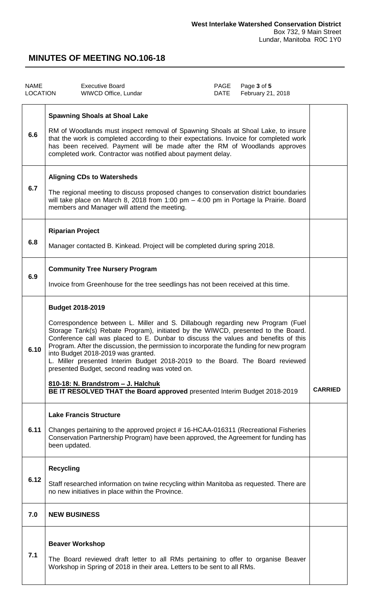| <b>NAME</b><br><b>LOCATION</b> | <b>Executive Board</b><br>WIWCD Office, Lundar                                                                                                                                                                                                                                                                                                                                                                                                                                                                                                                                                                                                                              | PAGE<br>DATE | Page 3 of 5<br>February 21, 2018 |                |
|--------------------------------|-----------------------------------------------------------------------------------------------------------------------------------------------------------------------------------------------------------------------------------------------------------------------------------------------------------------------------------------------------------------------------------------------------------------------------------------------------------------------------------------------------------------------------------------------------------------------------------------------------------------------------------------------------------------------------|--------------|----------------------------------|----------------|
| 6.6                            | <b>Spawning Shoals at Shoal Lake</b><br>RM of Woodlands must inspect removal of Spawning Shoals at Shoal Lake, to insure<br>that the work is completed according to their expectations. Invoice for completed work<br>has been received. Payment will be made after the RM of Woodlands approves<br>completed work. Contractor was notified about payment delay.                                                                                                                                                                                                                                                                                                            |              |                                  |                |
| 6.7                            | <b>Aligning CDs to Watersheds</b><br>The regional meeting to discuss proposed changes to conservation district boundaries<br>will take place on March 8, 2018 from 1:00 pm - 4:00 pm in Portage la Prairie. Board<br>members and Manager will attend the meeting.                                                                                                                                                                                                                                                                                                                                                                                                           |              |                                  |                |
| 6.8                            | <b>Riparian Project</b><br>Manager contacted B. Kinkead. Project will be completed during spring 2018.                                                                                                                                                                                                                                                                                                                                                                                                                                                                                                                                                                      |              |                                  |                |
| 6.9                            | <b>Community Tree Nursery Program</b><br>Invoice from Greenhouse for the tree seedlings has not been received at this time.                                                                                                                                                                                                                                                                                                                                                                                                                                                                                                                                                 |              |                                  |                |
| 6.10                           | <b>Budget 2018-2019</b><br>Correspondence between L. Miller and S. Dillabough regarding new Program (Fuel<br>Storage Tank(s) Rebate Program), initiated by the WIWCD, presented to the Board.<br>Conference call was placed to E. Dunbar to discuss the values and benefits of this<br>Program. After the discussion, the permission to incorporate the funding for new program<br>into Budget 2018-2019 was granted.<br>L. Miller presented Interim Budget 2018-2019 to the Board. The Board reviewed<br>presented Budget, second reading was voted on.<br>810-18: N. Brandstrom - J. Halchuk<br>BE IT RESOLVED THAT the Board approved presented Interim Budget 2018-2019 |              |                                  | <b>CARRIED</b> |
| 6.11                           | <b>Lake Francis Structure</b><br>Changes pertaining to the approved project #16-HCAA-016311 (Recreational Fisheries<br>Conservation Partnership Program) have been approved, the Agreement for funding has<br>been updated.                                                                                                                                                                                                                                                                                                                                                                                                                                                 |              |                                  |                |
| 6.12                           | <b>Recycling</b><br>Staff researched information on twine recycling within Manitoba as requested. There are<br>no new initiatives in place within the Province.                                                                                                                                                                                                                                                                                                                                                                                                                                                                                                             |              |                                  |                |
| 7.0                            | <b>NEW BUSINESS</b>                                                                                                                                                                                                                                                                                                                                                                                                                                                                                                                                                                                                                                                         |              |                                  |                |
| 7.1                            | <b>Beaver Workshop</b><br>The Board reviewed draft letter to all RMs pertaining to offer to organise Beaver<br>Workshop in Spring of 2018 in their area. Letters to be sent to all RMs.                                                                                                                                                                                                                                                                                                                                                                                                                                                                                     |              |                                  |                |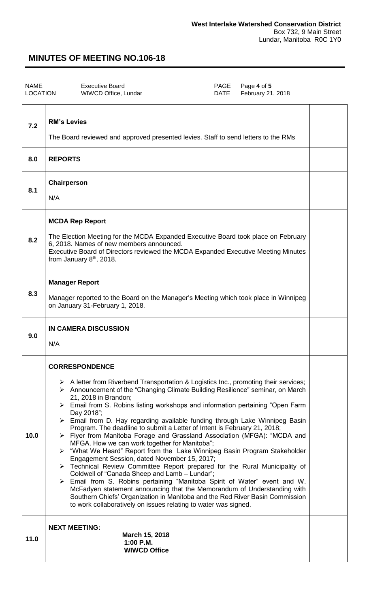$\overline{\phantom{a}}$ 

# **MINUTES OF MEETING NO.106-18**

| NAME            | Executive Board      | PAGE Page 4 of 5       |
|-----------------|----------------------|------------------------|
| <b>LOCATION</b> | WIWCD Office, Lundar | DATE February 21, 2018 |
|                 |                      |                        |

| 7.2  | <b>RM's Levies</b><br>The Board reviewed and approved presented levies. Staff to send letters to the RMs                                                                                                                                                                                                                                                                                                                                                                                                                                                                                                                                                                                                                                                                                                                                                                                                                                                                                                                                                                                                                                                                                                             |  |  |
|------|----------------------------------------------------------------------------------------------------------------------------------------------------------------------------------------------------------------------------------------------------------------------------------------------------------------------------------------------------------------------------------------------------------------------------------------------------------------------------------------------------------------------------------------------------------------------------------------------------------------------------------------------------------------------------------------------------------------------------------------------------------------------------------------------------------------------------------------------------------------------------------------------------------------------------------------------------------------------------------------------------------------------------------------------------------------------------------------------------------------------------------------------------------------------------------------------------------------------|--|--|
| 8.0  | <b>REPORTS</b>                                                                                                                                                                                                                                                                                                                                                                                                                                                                                                                                                                                                                                                                                                                                                                                                                                                                                                                                                                                                                                                                                                                                                                                                       |  |  |
| 8.1  | Chairperson<br>N/A                                                                                                                                                                                                                                                                                                                                                                                                                                                                                                                                                                                                                                                                                                                                                                                                                                                                                                                                                                                                                                                                                                                                                                                                   |  |  |
| 8.2  | <b>MCDA Rep Report</b><br>The Election Meeting for the MCDA Expanded Executive Board took place on February<br>6, 2018. Names of new members announced.<br>Executive Board of Directors reviewed the MCDA Expanded Executive Meeting Minutes<br>from January 8 <sup>th</sup> , 2018.                                                                                                                                                                                                                                                                                                                                                                                                                                                                                                                                                                                                                                                                                                                                                                                                                                                                                                                                 |  |  |
| 8.3  | <b>Manager Report</b><br>Manager reported to the Board on the Manager's Meeting which took place in Winnipeg<br>on January 31-February 1, 2018.                                                                                                                                                                                                                                                                                                                                                                                                                                                                                                                                                                                                                                                                                                                                                                                                                                                                                                                                                                                                                                                                      |  |  |
| 9.0  | <b>IN CAMERA DISCUSSION</b><br>N/A                                                                                                                                                                                                                                                                                                                                                                                                                                                                                                                                                                                                                                                                                                                                                                                                                                                                                                                                                                                                                                                                                                                                                                                   |  |  |
| 10.0 | <b>CORRESPONDENCE</b><br>$\triangleright$ A letter from Riverbend Transportation & Logistics Inc., promoting their services;<br>▶ Announcement of the "Changing Climate Building Resilience" seminar, on March<br>21, 2018 in Brandon;<br>> Email from S. Robins listing workshops and information pertaining "Open Farm<br>Day 2018";<br>$\triangleright$ Email from D. Hay regarding available funding through Lake Winnipeg Basin<br>Program. The deadline to submit a Letter of Intent is February 21, 2018;<br>> Flyer from Manitoba Forage and Grassland Association (MFGA): "MCDA and<br>MFGA. How we can work together for Manitoba";<br>> "What We Heard" Report from the Lake Winnipeg Basin Program Stakeholder<br>Engagement Session, dated November 15, 2017;<br>> Technical Review Committee Report prepared for the Rural Municipality of<br>Coldwell of "Canada Sheep and Lamb - Lundar";<br>> Email from S. Robins pertaining "Manitoba Spirit of Water" event and W.<br>McFadyen statement announcing that the Memorandum of Understanding with<br>Southern Chiefs' Organization in Manitoba and the Red River Basin Commission<br>to work collaboratively on issues relating to water was signed. |  |  |
| 11.0 | <b>NEXT MEETING:</b><br>March 15, 2018<br>1:00 P.M.<br><b>WIWCD Office</b>                                                                                                                                                                                                                                                                                                                                                                                                                                                                                                                                                                                                                                                                                                                                                                                                                                                                                                                                                                                                                                                                                                                                           |  |  |